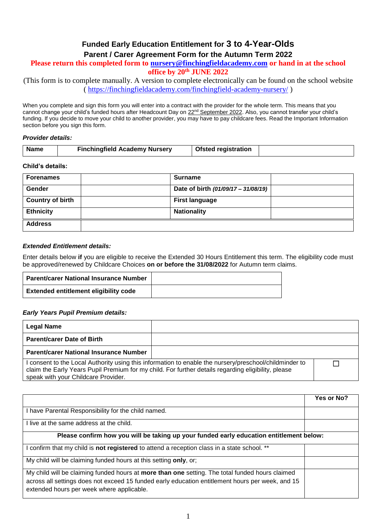# **Funded Early Education Entitlement for 3 to 4-Year-Olds**

## **Parent / Carer Agreement Form for the Autumn Term 2022**

## **Please return this completed form to [nursery@finchingfieldacademy.com](mailto:nursery@finchingfieldacademy.com) or hand in at the school**

**office by 20th JUNE 2022**

(This form is to complete manually. A version to complete electronically can be found on the school website (<https://finchingfieldacademy.com/finchingfield-academy-nursery/> )

When you complete and sign this form you will enter into a contract with the provider for the whole term. This means that you cannot change your child's funded hours after Headcount Day on 22<sup>nd</sup> September 2022. Also, you cannot transfer your child's funding. If you decide to move your child to another provider, you may have to pay childcare fees. Read the Important Information section before you sign this form.

#### *Provider details:*

| Name | <b>Finchingfield Academy Nursery</b> | <b>Ofsted registration</b> |  |
|------|--------------------------------------|----------------------------|--|

#### **Child's details:**

| <b>Forenames</b>        | <b>Surname</b>                      |
|-------------------------|-------------------------------------|
| Gender                  | Date of birth (01/09/17 - 31/08/19) |
| <b>Country of birth</b> | <b>First language</b>               |
| <b>Ethnicity</b>        | <b>Nationality</b>                  |
| <b>Address</b>          |                                     |

#### *Extended Entitlement details:*

Enter details below **if** you are eligible to receive the Extended 30 Hours Entitlement this term. The eligibility code must be approved/renewed by Childcare Choices **on or before the 31/08/2022** for Autumn term claims.

| Parent/carer National Insurance Number       |  |
|----------------------------------------------|--|
| <b>Extended entitlement eligibility code</b> |  |

#### *Early Years Pupil Premium details:*

| Legal Name                                    |                                                                                                                                                                                                               |  |
|-----------------------------------------------|---------------------------------------------------------------------------------------------------------------------------------------------------------------------------------------------------------------|--|
| <b>Parent/carer Date of Birth</b>             |                                                                                                                                                                                                               |  |
| <b>Parent/carer National Insurance Number</b> |                                                                                                                                                                                                               |  |
| speak with your Childcare Provider.           | I consent to the Local Authority using this information to enable the nursery/preschool/childminder to<br>claim the Early Years Pupil Premium for my child. For further details regarding eligibility, please |  |

|                                                                                                                                                                                                                                                  | Yes or No? |
|--------------------------------------------------------------------------------------------------------------------------------------------------------------------------------------------------------------------------------------------------|------------|
| have Parental Responsibility for the child named.                                                                                                                                                                                                |            |
| I live at the same address at the child.                                                                                                                                                                                                         |            |
| Please confirm how you will be taking up your funded early education entitlement below:                                                                                                                                                          |            |
| confirm that my child is <b>not registered</b> to attend a reception class in a state school. **                                                                                                                                                 |            |
| My child will be claiming funded hours at this setting only, or;                                                                                                                                                                                 |            |
| My child will be claiming funded hours at more than one setting. The total funded hours claimed<br>across all settings does not exceed 15 funded early education entitlement hours per week, and 15<br>extended hours per week where applicable. |            |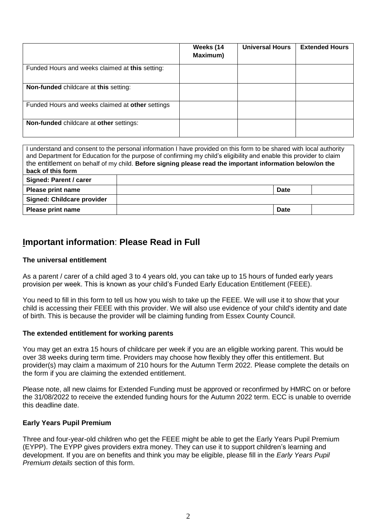|                                                  | Weeks (14<br>Maximum) | <b>Universal Hours</b> | <b>Extended Hours</b> |
|--------------------------------------------------|-----------------------|------------------------|-----------------------|
| Funded Hours and weeks claimed at this setting:  |                       |                        |                       |
| <b>Non-funded childcare at this setting:</b>     |                       |                        |                       |
| Funded Hours and weeks claimed at other settings |                       |                        |                       |
| Non-funded childcare at other settings:          |                       |                        |                       |

| I understand and consent to the personal information I have provided on this form to be shared with local authority<br>and Department for Education for the purpose of confirming my child's eligibility and enable this provider to claim<br>the entitlement on behalf of my child. Before signing please read the important information below/on the |  |      |  |
|--------------------------------------------------------------------------------------------------------------------------------------------------------------------------------------------------------------------------------------------------------------------------------------------------------------------------------------------------------|--|------|--|
| back of this form                                                                                                                                                                                                                                                                                                                                      |  |      |  |
| Signed: Parent / carer                                                                                                                                                                                                                                                                                                                                 |  |      |  |
| <b>Please print name</b>                                                                                                                                                                                                                                                                                                                               |  | Date |  |
| Signed: Childcare provider                                                                                                                                                                                                                                                                                                                             |  |      |  |
| Please print name                                                                                                                                                                                                                                                                                                                                      |  | Date |  |

# **Important information**: **Please Read in Full**

## **The universal entitlement**

As a parent / carer of a child aged 3 to 4 years old, you can take up to 15 hours of funded early years provision per week. This is known as your child's Funded Early Education Entitlement (FEEE).

You need to fill in this form to tell us how you wish to take up the FEEE. We will use it to show that your child is accessing their FEEE with this provider. We will also use evidence of your child's identity and date of birth. This is because the provider will be claiming funding from Essex County Council.

## **The extended entitlement for working parents**

You may get an extra 15 hours of childcare per week if you are an eligible working parent. This would be over 38 weeks during term time. Providers may choose how flexibly they offer this entitlement. But provider(s) may claim a maximum of 210 hours for the Autumn Term 2022. Please complete the details on the form if you are claiming the extended entitlement.

Please note, all new claims for Extended Funding must be approved or reconfirmed by HMRC on or before the 31/08/2022 to receive the extended funding hours for the Autumn 2022 term. ECC is unable to override this deadline date.

## **Early Years Pupil Premium**

Three and four-year-old children who get the FEEE might be able to get the Early Years Pupil Premium (EYPP). The EYPP gives providers extra money. They can use it to support children's learning and development. If you are on benefits and think you may be eligible, please fill in the *Early Years Pupil Premium details* section of this form.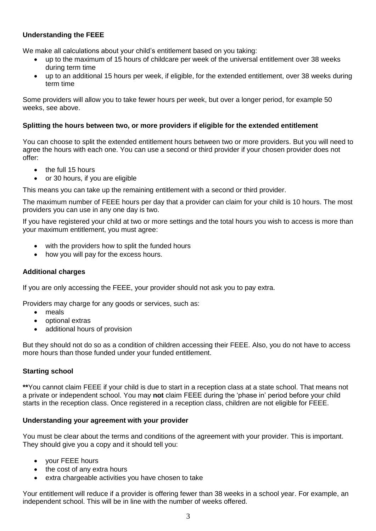# **Understanding the FEEE**

We make all calculations about your child's entitlement based on you taking:

- up to the maximum of 15 hours of childcare per week of the universal entitlement over 38 weeks during term time
- up to an additional 15 hours per week, if eligible, for the extended entitlement, over 38 weeks during term time

Some providers will allow you to take fewer hours per week, but over a longer period, for example 50 weeks, see above.

# **Splitting the hours between two, or more providers if eligible for the extended entitlement**

You can choose to split the extended entitlement hours between two or more providers. But you will need to agree the hours with each one. You can use a second or third provider if your chosen provider does not offer:

- the full 15 hours
- or 30 hours, if you are eligible

This means you can take up the remaining entitlement with a second or third provider.

The maximum number of FEEE hours per day that a provider can claim for your child is 10 hours. The most providers you can use in any one day is two.

If you have registered your child at two or more settings and the total hours you wish to access is more than your maximum entitlement, you must agree:

- with the providers how to split the funded hours
- how you will pay for the excess hours.

## **Additional charges**

If you are only accessing the FEEE, your provider should not ask you to pay extra.

Providers may charge for any goods or services, such as:

- meals
- optional extras
- additional hours of provision

But they should not do so as a condition of children accessing their FEEE. Also, you do not have to access more hours than those funded under your funded entitlement.

# **Starting school**

**\*\***You cannot claim FEEE if your child is due to start in a reception class at a state school. That means not a private or independent school. You may **not** claim FEEE during the 'phase in' period before your child starts in the reception class. Once registered in a reception class, children are not eligible for FEEE.

## **Understanding your agreement with your provider**

You must be clear about the terms and conditions of the agreement with your provider. This is important. They should give you a copy and it should tell you:

- your FEEE hours
- the cost of any extra hours
- extra chargeable activities you have chosen to take

Your entitlement will reduce if a provider is offering fewer than 38 weeks in a school year. For example, an independent school. This will be in line with the number of weeks offered.